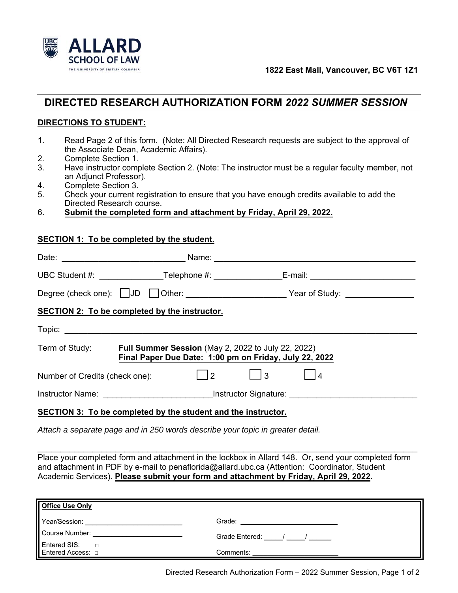

## **DIRECTED RESEARCH AUTHORIZATION FORM** *2022 SUMMER SESSION*

## **DIRECTIONS TO STUDENT:**

- 1. Read Page 2 of this form. (Note: All Directed Research requests are subject to the approval of the Associate Dean, Academic Affairs).
- 2. Complete Section 1.
- 3. Have instructor complete Section 2. (Note: The instructor must be a regular faculty member, not an Adjunct Professor).
- 4. Complete Section 3.
- 5. Check your current registration to ensure that you have enough credits available to add the Directed Research course.
- 6. **Submit the completed form and attachment by Friday, April 29, 2022.**

## **SECTION 1: To be completed by the student.**

|                                                                                                                            | UBC Student #: ______________________Telephone #: _______________________________                                           |  |      |  |
|----------------------------------------------------------------------------------------------------------------------------|-----------------------------------------------------------------------------------------------------------------------------|--|------|--|
|                                                                                                                            |                                                                                                                             |  |      |  |
|                                                                                                                            | <b>SECTION 2: To be completed by the instructor.</b>                                                                        |  |      |  |
|                                                                                                                            |                                                                                                                             |  |      |  |
|                                                                                                                            | Term of Study: Full Summer Session (May 2, 2022 to July 22, 2022)<br>Final Paper Due Date: 1:00 pm on Friday, July 22, 2022 |  |      |  |
|                                                                                                                            | Number of Credits (check one):     2                                                                                        |  | l 14 |  |
| Instructor Name: Contract of Name and American Contract of Signature: Contract of Name and American Contract of Signature: |                                                                                                                             |  |      |  |
| SECTION 3: To be completed by the student and the instructor.                                                              |                                                                                                                             |  |      |  |

*Attach a separate page and in 250 words describe your topic in greater detail.* 

Place your completed form and attachment in the lockbox in Allard 148. Or, send your completed form and attachment in PDF by e-mail to penaflorida@allard.ubc.ca (Attention: Coordinator, Student Academic Services). **Please submit your form and attachment by Friday, April 29, 2022**.

\_\_\_\_\_\_\_\_\_\_\_\_\_\_\_\_\_\_\_\_\_\_\_\_\_\_\_\_\_\_\_\_\_\_\_\_\_\_\_\_\_\_\_\_\_\_\_\_\_\_\_\_\_\_\_\_\_\_\_\_\_\_\_\_\_\_\_\_\_\_\_\_\_\_\_\_\_\_\_\_\_\_\_

| <b>Office Use Only</b>                      |                    |  |  |
|---------------------------------------------|--------------------|--|--|
| Year/Session:                               | Grade:             |  |  |
| Course Number:                              | Grade Entered: (a) |  |  |
| Entered SIS:<br>$\Box$<br>Entered Access: □ | Comments:          |  |  |